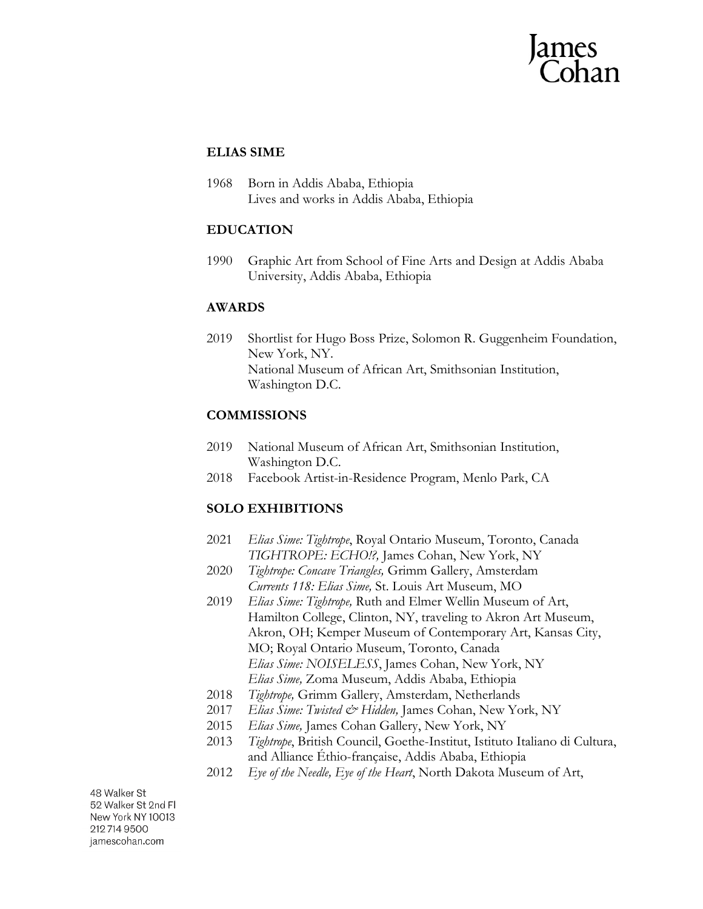## **ELIAS SIME**

1968 Born in Addis Ababa, Ethiopia Lives and works in Addis Ababa, Ethiopia

# **EDUCATION**

1990 Graphic Art from School of Fine Arts and Design at Addis Ababa University, Addis Ababa, Ethiopia

### **AWARDS**

2019 Shortlist for Hugo Boss Prize, Solomon R. Guggenheim Foundation, New York, NY. National Museum of African Art, Smithsonian Institution, Washington D.C.

# **COMMISSIONS**

- 2019 National Museum of African Art, Smithsonian Institution, Washington D.C.
- 2018 Facebook Artist-in-Residence Program, Menlo Park, CA

# **SOLO EXHIBITIONS**

- 2021 *Elias Sime: Tightrope*, Royal Ontario Museum, Toronto, Canada *TIGHTROPE: ECHO!?,* James Cohan, New York, NY
- 2020 *Tightrope: Concave Triangles,* Grimm Gallery, Amsterdam *Currents 118: Elias Sime,* St. Louis Art Museum, MO
- 2019 *Elias Sime: Tightrope,* Ruth and Elmer Wellin Museum of Art, Hamilton College, Clinton, NY, traveling to Akron Art Museum, Akron, OH; Kemper Museum of Contemporary Art, Kansas City, MO; Royal Ontario Museum, Toronto, Canada *Elias Sime: NOISELESS*, James Cohan, New York, NY *Elias Sime,* Zoma Museum, Addis Ababa, Ethiopia
- 2018 *Tightrope,* Grimm Gallery, Amsterdam, Netherlands
- 2017 *Elias Sime: Twisted & Hidden,* James Cohan, New York, NY
- 2015 *Elias Sime,* James Cohan Gallery, New York, NY
- 2013 *Tightrope*, British Council, Goethe-Institut, Istituto Italiano di Cultura, and Alliance Éthio-française, Addis Ababa, Ethiopia
- 2012 *Eye of the Needle, Eye of the Heart*, North Dakota Museum of Art,

48 Walker St 52 Walker St 2nd Fl New York NY 10013 212 714 9500 jamescohan.com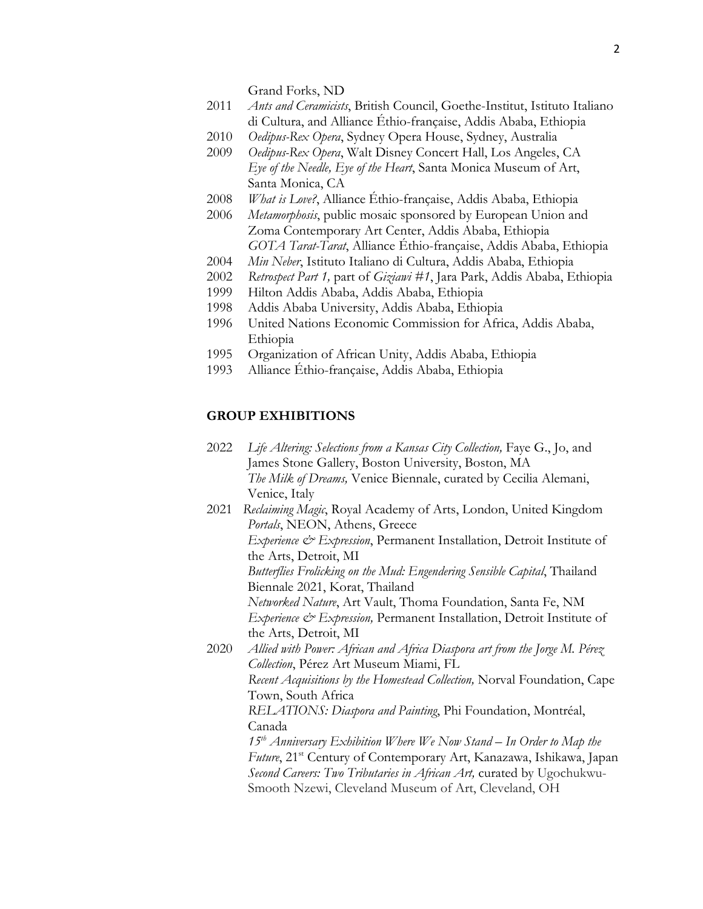Grand Forks, ND

- 2011 *Ants and Ceramicists*, British Council, Goethe-Institut, Istituto Italiano di Cultura, and Alliance Éthio-française, Addis Ababa, Ethiopia
- 2010 *Oedipus-Rex Opera*, Sydney Opera House, Sydney, Australia
- 2009 *Oedipus-Rex Opera*, Walt Disney Concert Hall, Los Angeles, CA *Eye of the Needle, Eye of the Heart*, Santa Monica Museum of Art, Santa Monica, CA
- 2008 *What is Love?*, Alliance Éthio-française, Addis Ababa, Ethiopia
- 2006 *Metamorphosis*, public mosaic sponsored by European Union and Zoma Contemporary Art Center, Addis Ababa, Ethiopia *GOTA Tarat-Tarat*, Alliance Éthio-française, Addis Ababa, Ethiopia
- 2004 *Min Neber*, Istituto Italiano di Cultura, Addis Ababa, Ethiopia
- 2002 *Retrospect Part 1,* part of *Giziawi #1*, Jara Park, Addis Ababa, Ethiopia
- 1999 Hilton Addis Ababa, Addis Ababa, Ethiopia
- 1998 Addis Ababa University, Addis Ababa, Ethiopia
- 1996 United Nations Economic Commission for Africa, Addis Ababa, Ethiopia
- 1995 Organization of African Unity, Addis Ababa, Ethiopia
- 1993 Alliance Éthio-française, Addis Ababa, Ethiopia

#### **GROUP EXHIBITIONS**

- 2022 *Life Altering: Selections from a Kansas City Collection, Faye G., Jo, and* James Stone Gallery, Boston University, Boston, MA *The Milk of Dreams,* Venice Biennale, curated by Cecilia Alemani, Venice, Italy
- 2021 *Reclaiming Magic*, Royal Academy of Arts, London, United Kingdom *Portals*, NEON, Athens, Greece *Experience & Expression*, Permanent Installation, Detroit Institute of the Arts, Detroit, MI *Butterflies Frolicking on the Mud: Engendering Sensible Capital*, Thailand Biennale 2021, Korat, Thailand *Networked Nature*, Art Vault, Thoma Foundation, Santa Fe, NM *Experience & Expression,* Permanent Installation, Detroit Institute of the Arts, Detroit, MI
- 2020 *Allied with Power: African and Africa Diaspora art from the Jorge M. Pérez Collection*, Pérez Art Museum Miami, FL *Recent Acquisitions by the Homestead Collection,* Norval Foundation, Cape Town, South Africa *RELATIONS: Diaspora and Painting*, Phi Foundation, Montréal, Canada *15th Anniversary Exhibition Where We Now Stand – In Order to Map the Future*, 21<sup>st</sup> Century of Contemporary Art, Kanazawa, Ishikawa, Japan

*Second Careers: Two Tributaries in African Art,* curated by Ugochukwu-Smooth Nzewi, Cleveland Museum of Art, Cleveland, OH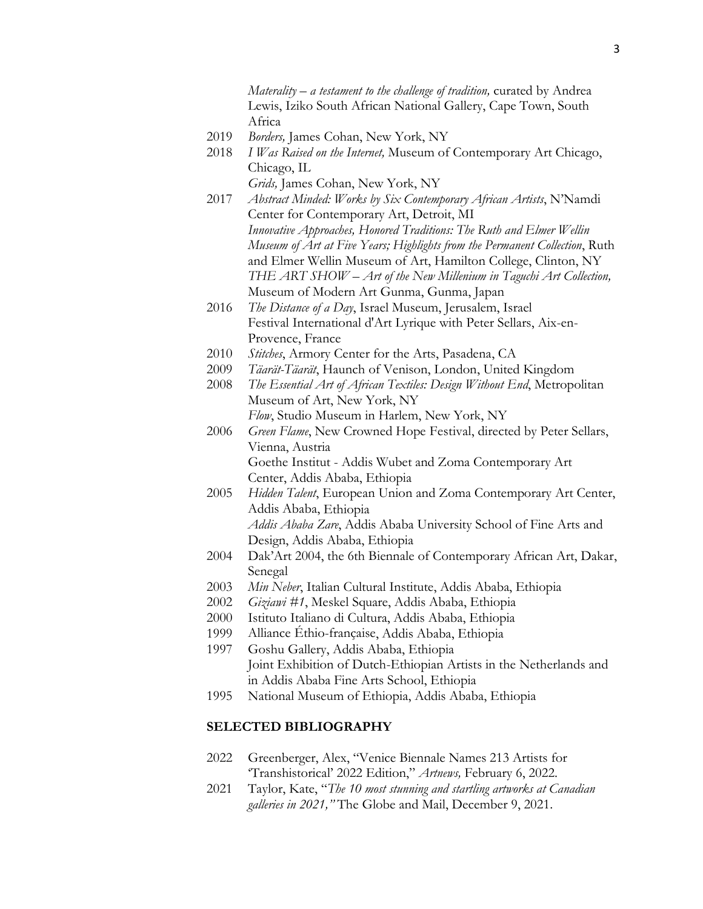*Materality – a testament to the challenge of tradition,* curated by Andrea Lewis, Iziko South African National Gallery, Cape Town, South Africa

- 2019 *Borders,* James Cohan, New York, NY
- 2018 *I Was Raised on the Internet,* Museum of Contemporary Art Chicago, Chicago, IL

*Grids,* James Cohan, New York, NY

- 2017 *Abstract Minded: Works by Six Contemporary African Artists*, N'Namdi Center for Contemporary Art, Detroit, MI *Innovative Approaches, Honored Traditions: The Ruth and Elmer Wellin Museum of Art at Five Years; Highlights from the Permanent Collection*, Ruth and Elmer Wellin Museum of Art, Hamilton College, Clinton, NY *THE ART SHOW – Art of the New Millenium in Taguchi Art Collection,*  Museum of Modern Art Gunma, Gunma, Japan
- 2016 *The Distance of a Day*, Israel Museum, Jerusalem, Israel Festival International d'Art Lyrique with Peter Sellars, Aix-en-Provence, France
- 2010 *Stitches*, Armory Center for the Arts, Pasadena, CA
- 2009 *Täarät-Täarät*, Haunch of Venison, London, United Kingdom
- 2008 *The Essential Art of African Textiles: Design Without End*, Metropolitan Museum of Art, New York, NY
- *Flow*, Studio Museum in Harlem, New York, NY 2006 *Green Flame*, New Crowned Hope Festival, directed by Peter Sellars, Vienna, Austria Goethe Institut - Addis Wubet and Zoma Contemporary Art

Center, Addis Ababa, Ethiopia

- 2005 *Hidden Talent*, European Union and Zoma Contemporary Art Center, Addis Ababa, Ethiopia *Addis Ababa Zare*, Addis Ababa University School of Fine Arts and Design, Addis Ababa, Ethiopia
- 2004 Dak'Art 2004, the 6th Biennale of Contemporary African Art, Dakar, Senegal
- 2003 *Min Neber*, Italian Cultural Institute, Addis Ababa, Ethiopia
- 2002 *Giziawi #1*, Meskel Square, Addis Ababa, Ethiopia
- 2000 Istituto Italiano di Cultura, Addis Ababa, Ethiopia
- 1999 Alliance Éthio-française, Addis Ababa, Ethiopia
- 1997 Goshu Gallery, Addis Ababa, Ethiopia Joint Exhibition of Dutch-Ethiopian Artists in the Netherlands and in Addis Ababa Fine Arts School, Ethiopia
- 1995 National Museum of Ethiopia, Addis Ababa, Ethiopia

#### **SELECTED BIBLIOGRAPHY**

- 2022 Greenberger, Alex, "Venice Biennale Names 213 Artists for 'Transhistorical' 2022 Edition," *Artnews,* February 6, 2022.
- 2021 Taylor, Kate, "*The 10 most stunning and startling artworks at Canadian galleries in 2021,"* The Globe and Mail, December 9, 2021.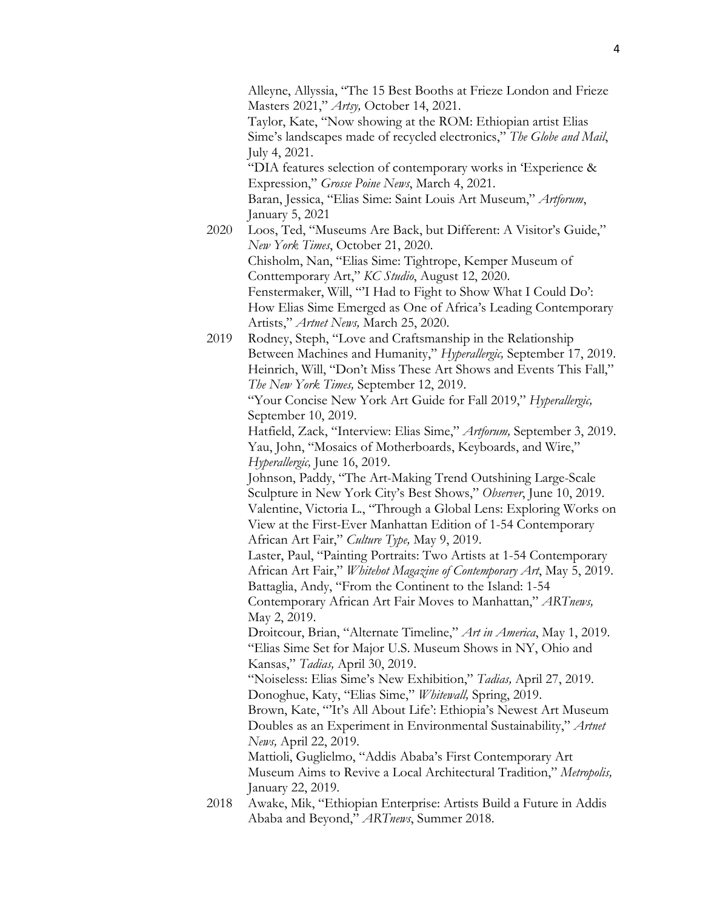Alleyne, Allyssia, "The 15 Best Booths at Frieze London and Frieze Masters 2021," *Artsy,* October 14, 2021. Taylor, Kate, "Now showing at the ROM: Ethiopian artist Elias Sime's landscapes made of recycled electronics," *The Globe and Mail*, July 4, 2021. "DIA features selection of contemporary works in 'Experience & Expression," *Grosse Poine News*, March 4, 2021. Baran, Jessica, "Elias Sime: Saint Louis Art Museum," *Artforum*, January 5, 2021 2020 Loos, Ted, "Museums Are Back, but Different: A Visitor's Guide," *New York Times*, October 21, 2020. Chisholm, Nan, "Elias Sime: Tightrope, Kemper Museum of Conttemporary Art," *KC Studio*, August 12, 2020. Fenstermaker, Will, "'I Had to Fight to Show What I Could Do': How Elias Sime Emerged as One of Africa's Leading Contemporary Artists," *Artnet News,* March 25, 2020. 2019 Rodney, Steph, "Love and Craftsmanship in the Relationship Between Machines and Humanity," *Hyperallergic,* September 17, 2019. Heinrich, Will, "Don't Miss These Art Shows and Events This Fall," *The New York Times,* September 12, 2019. "Your Concise New York Art Guide for Fall 2019," *Hyperallergic,*  September 10, 2019. Hatfield, Zack, "Interview: Elias Sime," *Artforum,* September 3, 2019. Yau, John, "Mosaics of Motherboards, Keyboards, and Wire," *Hyperallergic,* June 16, 2019. Johnson, Paddy, "The Art-Making Trend Outshining Large-Scale Sculpture in New York City's Best Shows," *Observer*, June 10, 2019. Valentine, Victoria L., "Through a Global Lens: Exploring Works on View at the First-Ever Manhattan Edition of 1-54 Contemporary African Art Fair," *Culture Type,* May 9, 2019. Laster, Paul, "Painting Portraits: Two Artists at 1-54 Contemporary African Art Fair," *Whitehot Magazine of Contemporary Art*, May 5, 2019. Battaglia, Andy, "From the Continent to the Island: 1-54 Contemporary African Art Fair Moves to Manhattan," *ARTnews,*  May 2, 2019. Droitcour, Brian, "Alternate Timeline," *Art in America*, May 1, 2019. "Elias Sime Set for Major U.S. Museum Shows in NY, Ohio and Kansas," *Tadias,* April 30, 2019. "Noiseless: Elias Sime's New Exhibition," *Tadias,* April 27, 2019. Donoghue, Katy, "Elias Sime," *Whitewall,* Spring, 2019. Brown, Kate, "'It's All About Life': Ethiopia's Newest Art Museum Doubles as an Experiment in Environmental Sustainability," *Artnet News,* April 22, 2019.

Mattioli, Guglielmo, "Addis Ababa's First Contemporary Art Museum Aims to Revive a Local Architectural Tradition," *Metropolis,*  January 22, 2019.

2018 Awake, Mik, "Ethiopian Enterprise: Artists Build a Future in Addis Ababa and Beyond," *ARTnews*, Summer 2018.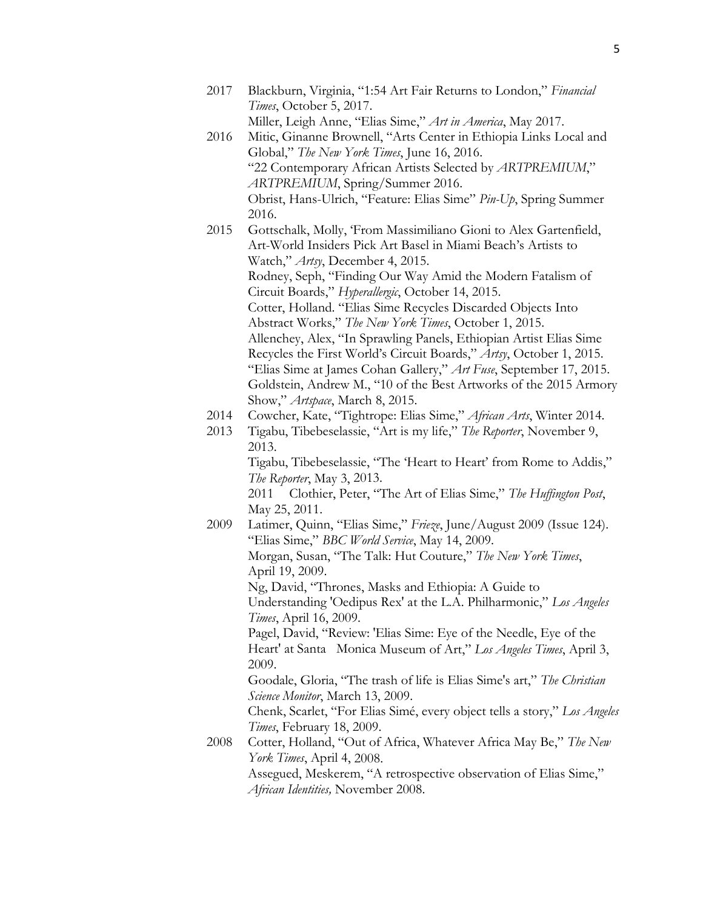- 2017 Blackburn, Virginia, "1:54 Art Fair Returns to London," *Financial Times*, October 5, 2017. Miller, Leigh Anne, "Elias Sime," *Art in America*, May 2017.
- 2016 Mitic, Ginanne Brownell, "Arts Center in Ethiopia Links Local and Global," *The New York Times*, June 16, 2016. "22 Contemporary African Artists Selected by *ARTPREMIUM*," *ARTPREMIUM*, Spring/Summer 2016. Obrist, Hans-Ulrich, "Feature: Elias Sime" *Pin-Up*, Spring Summer 2016.
- 2015 Gottschalk, Molly, 'From Massimiliano Gioni to Alex Gartenfield, Art-World Insiders Pick Art Basel in Miami Beach's Artists to Watch," *Artsy*, December 4, 2015. Rodney, Seph, "Finding Our Way Amid the Modern Fatalism of Circuit Boards," *Hyperallergic*, October 14, 2015. Cotter, Holland. "Elias Sime Recycles Discarded Objects Into Abstract Works," *The New York Times*, October 1, 2015. Allenchey, Alex, "In Sprawling Panels, Ethiopian Artist Elias Sime Recycles the First World's Circuit Boards," *Artsy*, October 1, 2015. "Elias Sime at James Cohan Gallery," *Art Fuse*, September 17, 2015. Goldstein, Andrew M., "10 of the Best Artworks of the 2015 Armory Show," *Artspace*, March 8, 2015.
- 2014 Cowcher, Kate, "Tightrope: Elias Sime," *African Arts*, Winter 2014.
- 2013 Tigabu, Tibebeselassie, "Art is my life," *The Reporter*, November 9, 2013.

Tigabu, Tibebeselassie, "The 'Heart to Heart' from Rome to Addis," *The Reporter*, May 3, 2013.

2011 Clothier, Peter, "The Art of Elias Sime," *The Huffington Post*, May 25, 2011.

- 2009 Latimer, Quinn, "Elias Sime," *Frieze*, June/August 2009 (Issue 124). "Elias Sime," *BBC World Service*, May 14, 2009. Morgan, Susan, "The Talk: Hut Couture," *The New York Times*, April 19, 2009. Ng, David, "Thrones, Masks and Ethiopia: A Guide to Understanding 'Oedipus Rex' at the L.A. Philharmonic," *Los Angeles Times*, April 16, 2009. Pagel, David, "Review: 'Elias Sime: Eye of the Needle, Eye of the Heart' at Santa Monica Museum of Art," *Los Angeles Times*, April 3, 2009. Goodale, Gloria, "The trash of life is Elias Sime's art," *The Christian Science Monitor*, March 13, 2009. Chenk, Scarlet, "For Elias Simé, every object tells a story," *Los Angeles Times*, February 18, 2009.
- 2008 Cotter, Holland, "Out of Africa, Whatever Africa May Be," *The New York Times*, April 4, 2008.

Assegued, Meskerem, "A retrospective observation of Elias Sime," *African Identities,* November 2008.